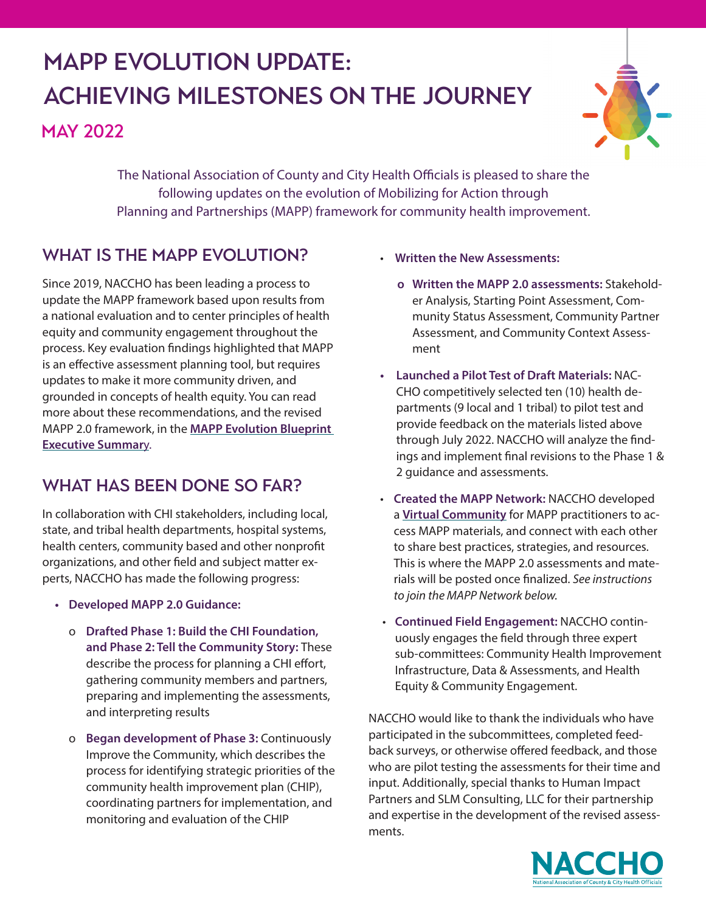# MAPP Evolution Update: Achieving Milestones on the Journey

**MAY 2022** 



The National Association of County and City Health Officials is pleased to share the following updates on the evolution of Mobilizing for Action through Planning and Partnerships (MAPP) framework for community health improvement.

## WHAT IS THE MAPP EVOLUTION?

Since 2019, NACCHO has been leading a process to update the MAPP framework based upon results from a national evaluation and to center principles of health equity and community engagement throughout the process. Key evaluation findings highlighted that MAPP is an effective assessment planning tool, but requires updates to make it more community driven, and grounded in concepts of health equity. You can read more about these recommendations, and the revised MAPP 2.0 framework, in the **[MAPP Evolution Blueprint](https://www.naccho.org/uploads/downloadable-resources/MAPP-Evolution-Blueprint-Executive-Summary-V3-FINAL.pdf)  [Executive Summar](https://www.naccho.org/uploads/downloadable-resources/MAPP-Evolution-Blueprint-Executive-Summary-V3-FINAL.pdf)**y.

## WHAT HAS BEEN DONE SO FAR?

In collaboration with CHI stakeholders, including local, state, and tribal health departments, hospital systems, health centers, community based and other nonprofit organizations, and other field and subject matter experts, NACCHO has made the following progress:

- **• Developed MAPP 2.0 Guidance:**
	- o **Drafted Phase 1: Build the CHI Foundation, and Phase 2: Tell the Community Story:** These describe the process for planning a CHI effort, gathering community members and partners, preparing and implementing the assessments, and interpreting results
	- o **Began development of Phase 3:** Continuously Improve the Community, which describes the process for identifying strategic priorities of the community health improvement plan (CHIP), coordinating partners for implementation, and monitoring and evaluation of the CHIP
- **Written the New Assessments:** 
	- **o Written the MAPP 2.0 assessments:** Stakeholder Analysis, Starting Point Assessment, Community Status Assessment, Community Partner Assessment, and Community Context Assessment
- **• Launched a Pilot Test of Draft Materials:** NAC-CHO competitively selected ten (10) health departments (9 local and 1 tribal) to pilot test and provide feedback on the materials listed above through July 2022. NACCHO will analyze the findings and implement final revisions to the Phase 1 & 2 guidance and assessments.
- **Created the MAPP Network:** NACCHO developed a **[Virtual Community](https://virtualcommunities.naccho.org/mappnetwork/home)** for MAPP practitioners to access MAPP materials, and connect with each other to share best practices, strategies, and resources. This is where the MAPP 2.0 assessments and materials will be posted once finalized. *See instructions to join the MAPP Network below.*
- **Continued Field Engagement:** NACCHO continuously engages the field through three expert sub-committees: Community Health Improvement Infrastructure, Data & Assessments, and Health Equity & Community Engagement.

NACCHO would like to thank the individuals who have participated in the subcommittees, completed feedback surveys, or otherwise offered feedback, and those who are pilot testing the assessments for their time and input. Additionally, special thanks to Human Impact Partners and SLM Consulting, LLC for their partnership and expertise in the development of the revised assessments.